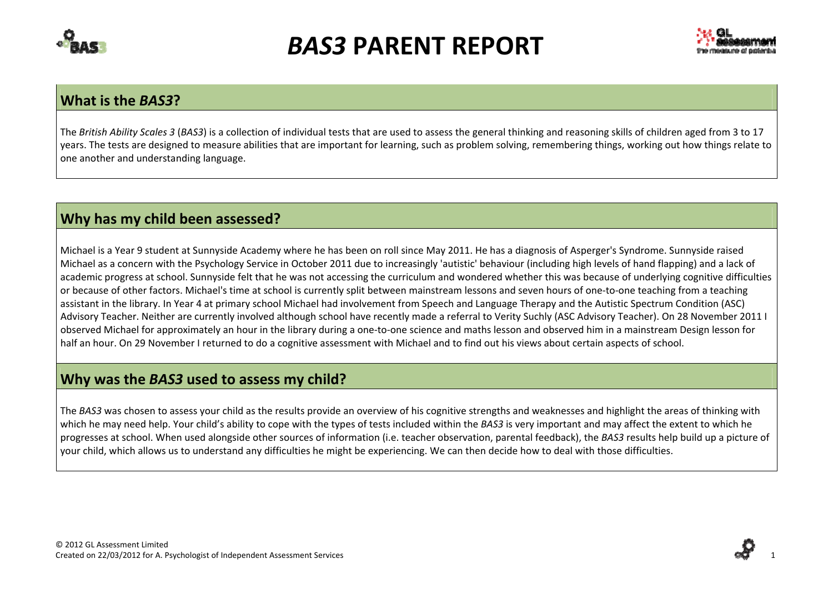



#### **What is the** *BAS3***?**

The *British Ability Scales 3* (*BAS3*) is <sup>a</sup> collection of individual tests that are used to assess the general thinking and reasoning skills of children aged from 3 to 17 years. The tests are designed to measure abilities that are important for learning, such as problem solving, remembering things, working out how things relate to one another and understanding language.

### **Why has my child been assessed?**

Michael is a Year 9 student at Sunnyside Academy where he has been on roll since May 2011. He has <sup>a</sup> diagnosis of Asperger's Syndrome. Sunnyside raised Michael as a concern with the Psychology Service in October 2011 due to increasingly 'autistic' behaviour (including high levels of hand flapping) and <sup>a</sup> lack of academic progress at school. Sunnyside felt that he was not accessing the curriculum and wondered whether this was because of underlying cognitive difficulties or because of other factors. Michael's time at school is currently split between mainstream lessons and seven hours of one‐to‐one teaching from <sup>a</sup> teaching assistant in the library. In Year 4 at primary school Michael had involvement from Speech and Language Therapy and the Autistic Spectrum Condition (ASC) Advisory Teacher. Neither are currently involved although school have recently made <sup>a</sup> referral to Verity Suchly (ASC Advisory Teacher). On 28 November 2011 I observed Michael for approximately an hour in the library during <sup>a</sup> one‐to‐one science and maths lesson and observed him in <sup>a</sup> mainstream Design lesson for half an hour. On 29 November I returned to do <sup>a</sup> cognitive assessment with Michael and to find out his views about certain aspects of school.

#### **Why was the** *BAS3* **used to assess my child?**

The *BAS3* was chosen to assess your child as the results provide an overview of his cognitive strengths and weaknesses and highlight the areas of thinking with which he may need help. Your child's ability to cope with the types of tests included within the *BAS3* is very important and may affect the extent to which he progresses at school. When used alongside other sources of information (i.e. teacher observation, parental feedback), the *BAS3* results help build up <sup>a</sup> picture of your child, which allows us to understand any difficulties he might be experiencing. We can then decide how to deal with those difficulties.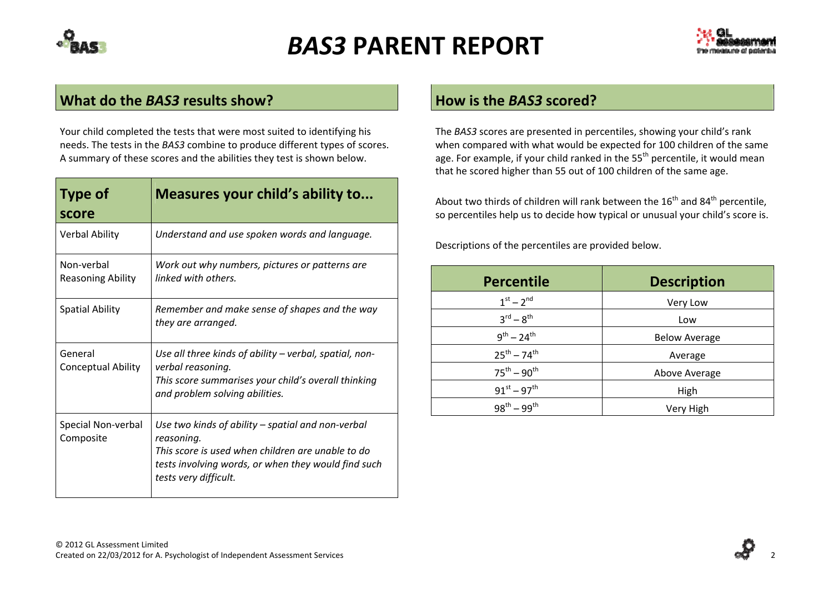



#### **What do the** *BAS3* **results show?**

Your child completed the tests that were most suited to identifying his needs. The tests in the *BAS3* combine to produce different types of scores. A summary of these scores and the abilities they test is shown below.

| <b>Type of</b><br>score                | Measures your child's ability to                                                                                                                                                                     |
|----------------------------------------|------------------------------------------------------------------------------------------------------------------------------------------------------------------------------------------------------|
| <b>Verbal Ability</b>                  | Understand and use spoken words and language.                                                                                                                                                        |
| Non-verbal<br><b>Reasoning Ability</b> | Work out why numbers, pictures or patterns are<br>linked with others.                                                                                                                                |
| <b>Spatial Ability</b>                 | Remember and make sense of shapes and the way<br>they are arranged.                                                                                                                                  |
| General<br><b>Conceptual Ability</b>   | Use all three kinds of ability – verbal, spatial, non-<br>verbal reasoning.<br>This score summarises your child's overall thinking<br>and problem solving abilities.                                 |
| Special Non-verbal<br>Composite        | Use two kinds of ability – spatial and non-verbal<br>reasoning.<br>This score is used when children are unable to do<br>tests involving words, or when they would find such<br>tests very difficult. |

#### **How is the** *BAS3* **scored?**

The *BAS3* scores are presented in percentiles, showing your child's rank when compared with what would be expected for 100 children of the same age. For example, if your child ranked in the 55<sup>th</sup> percentile, it would mean that he scored higher than 55 out of 100 children of the same age.

About two thirds of children will rank between the 16<sup>th</sup> and 84<sup>th</sup> percentile, so percentiles help us to decide how typical or unusual your child's score is.

Descriptions of the percentiles are provided below.

| <b>Percentile</b>               | <b>Description</b>   |
|---------------------------------|----------------------|
| $1^{st} - 2^{nd}$               | Very Low             |
| $3^{\text{rd}} - 8^{\text{th}}$ | Low                  |
| $9^{th} - 24^{th}$              | <b>Below Average</b> |
| $25^{th} - 74^{th}$             | Average              |
| $75^{th} - 90^{th}$             | Above Average        |
| $91^{st} - 97^{th}$             | High                 |
| $98^{th} - 99^{th}$             | Very High            |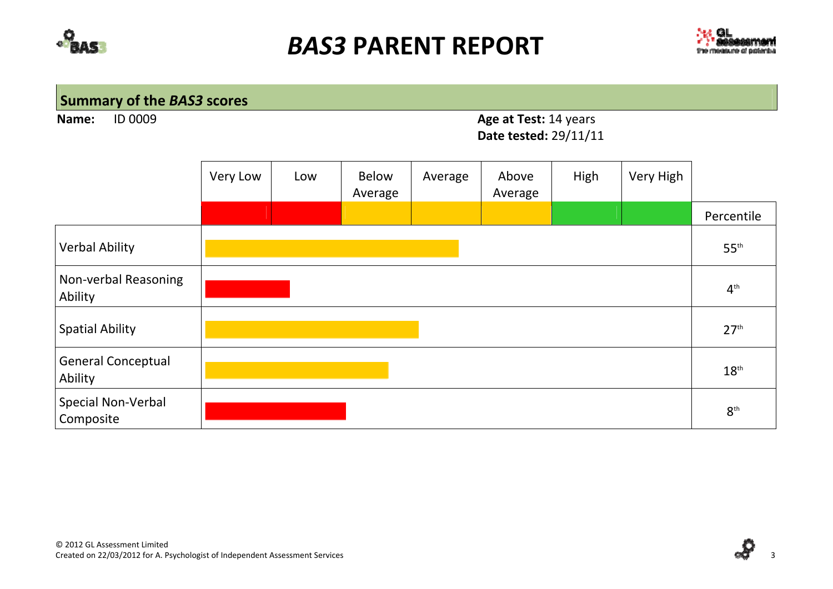



## **Summary of the** *BAS3* **scores**

**Name:ID 0009** 

### 0009 **Age at Test:** 14 years **Date tested:** 29/11/11

|                                      | Very Low | Low | <b>Below</b><br>Average | Average | Above<br>Average | High | Very High |                  |
|--------------------------------------|----------|-----|-------------------------|---------|------------------|------|-----------|------------------|
|                                      |          |     |                         |         |                  |      |           | Percentile       |
| <b>Verbal Ability</b>                |          |     |                         |         |                  |      |           | $55^{\text{th}}$ |
| Non-verbal Reasoning<br>Ability      |          |     |                         |         |                  |      |           | $4^{\text{th}}$  |
| <b>Spatial Ability</b>               |          |     |                         |         |                  |      |           | 27 <sup>th</sup> |
| <b>General Conceptual</b><br>Ability |          |     |                         |         |                  |      |           | $18^{\text{th}}$ |
| Special Non-Verbal<br>Composite      |          |     |                         |         |                  |      |           | $8^{\text{th}}$  |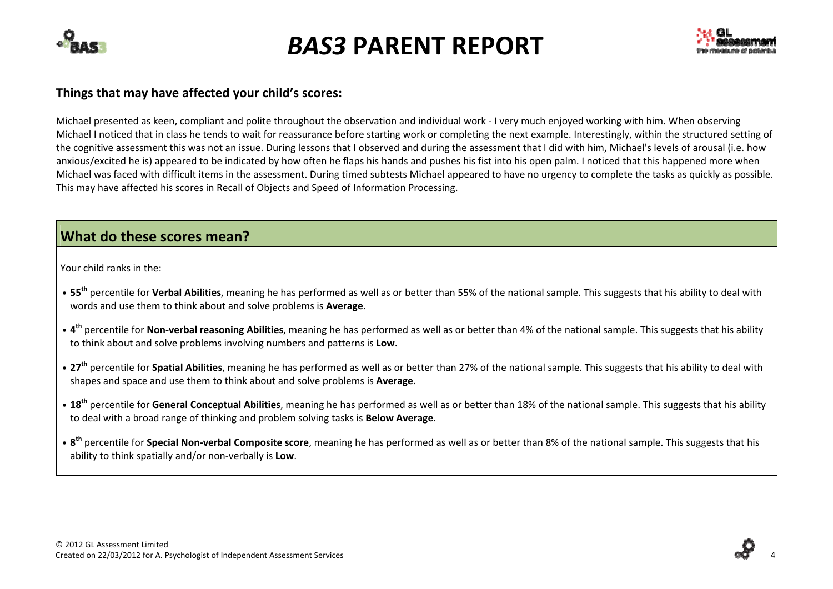



#### **Things that may have affected your child's scores:**

Michael presented as keen, compliant and polite throughout the observation and individual work ‐ I very much enjoyed working with him. When observing Michael I noticed that in class he tends to wait for reassurance before starting work or completing the next example. Interestingly, within the structured setting of the cognitive assessment this was not an issue. During lessons that I observed and during the assessment that I did with him, Michael's levels of arousal (i.e. how anxious/excited he is) appeared to be indicated by how often he flaps his hands and pushes his fist into his open palm. I noticed that this happened more when Michael was faced with difficult items in the assessment. During timed subtests Michael appeared to have no urgency to complete the tasks as quickly as possible. This may have affected his scores in Recall of Objects and Speed of Information Processing.

### **What do these scores mean?**

Your child ranks in the:

- **• <sup>55</sup>th** percentile for **Verbal Abilities**, meaning he has performed as well as or better than 55% of the national sample. This suggests that his ability to deal with words and use them to think about and solve problems is **Average**.
- **• <sup>4</sup>th** percentile for **Non‐verbal reasoning Abilities**, meaning he has performed as well as or better than 4% of the national sample. This suggests that his ability to think about and solve problems involving numbers and patterns is **Low**.
- **• <sup>27</sup>th** percentile for **Spatial Abilities**, meaning he has performed as well as or better than 27% of the national sample. This suggests that his ability to deal with shapes and space and use them to think about and solve problems is **Average**.
- **• <sup>18</sup>th** percentile for **General Conceptual Abilities**, meaning he has performed as well as or better than 18% of the national sample. This suggests that his ability to deal with <sup>a</sup> broad range of thinking and problem solving tasks is **Below Average**.
- **• <sup>8</sup>th** percentile for **Special Non‐verbal Composite score**, meaning he has performed as well as or better than 8% of the national sample. This suggests that his ability to think spatially and/or non‐verbally is **Low**.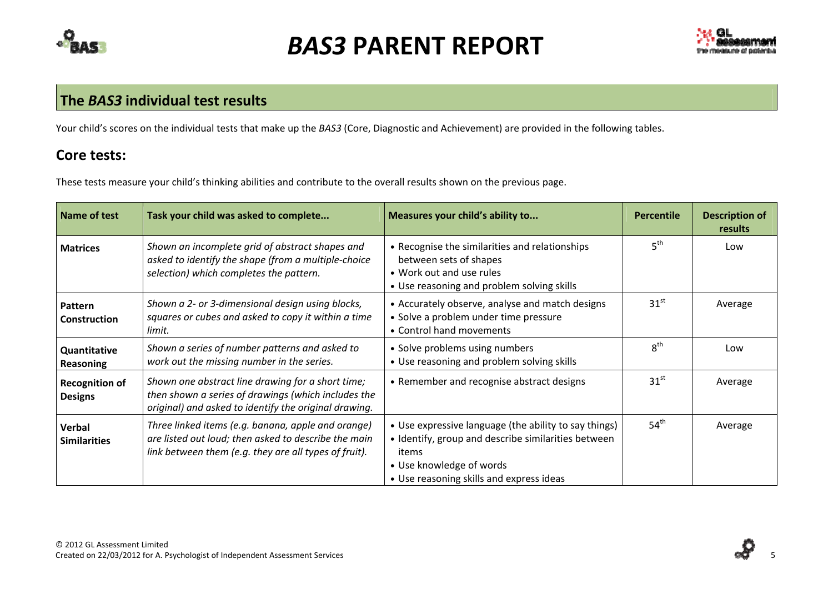



#### **The** *BAS3* **individual test results**

Your child's scores on the individual tests that make up the *BAS3* (Core, Diagnostic and Achievement) are provided in the following tables.

### **Core tests:**

These tests measure your child's thinking abilities and contribute to the overall results shown on the previous page.

| Name of test                            | Task your child was asked to complete                                                                                                                               | Measures your child's ability to                                                                                                                                                              | <b>Percentile</b> | <b>Description of</b><br>results |
|-----------------------------------------|---------------------------------------------------------------------------------------------------------------------------------------------------------------------|-----------------------------------------------------------------------------------------------------------------------------------------------------------------------------------------------|-------------------|----------------------------------|
| <b>Matrices</b>                         | Shown an incomplete grid of abstract shapes and<br>asked to identify the shape (from a multiple-choice<br>selection) which completes the pattern.                   | • Recognise the similarities and relationships<br>between sets of shapes<br>• Work out and use rules<br>• Use reasoning and problem solving skills                                            | 5 <sup>th</sup>   | Low                              |
| Pattern<br>Construction                 | Shown a 2- or 3-dimensional design using blocks,<br>squares or cubes and asked to copy it within a time<br>limit.                                                   | • Accurately observe, analyse and match designs<br>• Solve a problem under time pressure<br>• Control hand movements                                                                          | 31 <sup>st</sup>  | Average                          |
| Quantitative<br><b>Reasoning</b>        | Shown a series of number patterns and asked to<br>work out the missing number in the series.                                                                        | • Solve problems using numbers<br>• Use reasoning and problem solving skills                                                                                                                  | 8 <sup>th</sup>   | Low                              |
| <b>Recognition of</b><br><b>Designs</b> | Shown one abstract line drawing for a short time;<br>then shown a series of drawings (which includes the<br>original) and asked to identify the original drawing.   | • Remember and recognise abstract designs                                                                                                                                                     | 31 <sup>st</sup>  | Average                          |
| Verbal<br><b>Similarities</b>           | Three linked items (e.g. banana, apple and orange)<br>are listed out loud; then asked to describe the main<br>link between them (e.g. they are all types of fruit). | • Use expressive language (the ability to say things)<br>• Identify, group and describe similarities between<br>items<br>• Use knowledge of words<br>• Use reasoning skills and express ideas | 54 <sup>th</sup>  | Average                          |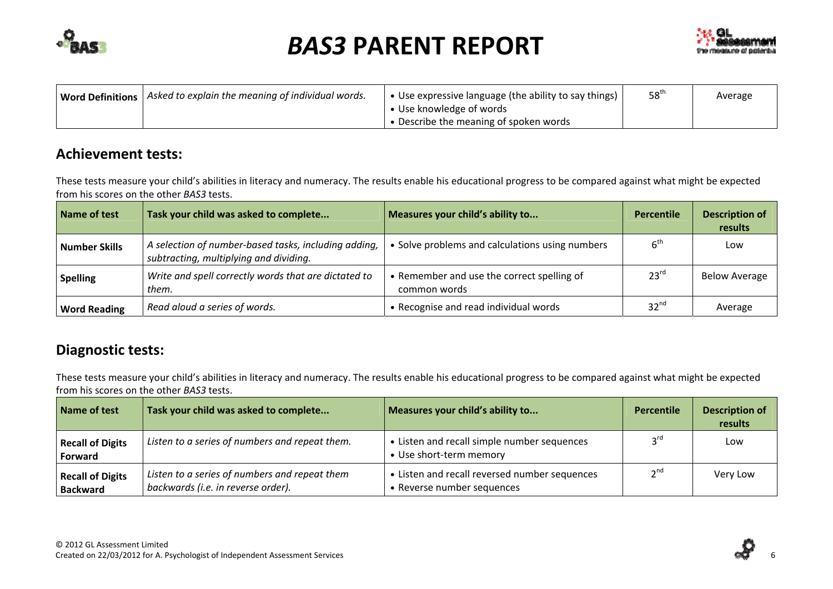



| Word Definitions   Asked to explain the meaning of individual words. | • Use expressive language (the ability to say things) | 58 <sup>th</sup> | Average |
|----------------------------------------------------------------------|-------------------------------------------------------|------------------|---------|
|                                                                      | • Use knowledge of words                              |                  |         |
|                                                                      | • Describe the meaning of spoken words                |                  |         |

### **Achievement tests:**

These tests measure your child's abilities in literacy and numeracy. The results enable his educational progress to be compared against what might be expected from his scores on the other *BAS3* tests.

| Name of test        | Task your child was asked to complete                                                          | Measures your child's ability to                           | Percentile       | <b>Description of</b><br>results |
|---------------------|------------------------------------------------------------------------------------------------|------------------------------------------------------------|------------------|----------------------------------|
| Number Skills       | A selection of number-based tasks, including adding,<br>subtracting, multiplying and dividing. | • Solve problems and calculations using numbers            | 6 <sup>th</sup>  | Low                              |
| <b>Spelling</b>     | Write and spell correctly words that are dictated to<br>them.                                  | • Remember and use the correct spelling of<br>common words | 23 <sup>rd</sup> | <b>Below Average</b>             |
| <b>Word Reading</b> | Read aloud a series of words.                                                                  | • Recognise and read individual words                      | 32 <sup>nd</sup> | Average                          |

### **Diagnostic tests:**

These tests measure your child's abilities in literacy and numeracy. The results enable his educational progress to be compared against what might be expected from his scores on the other *BAS3* tests.

| Name of test                               | Task your child was asked to complete                                               | Measures your child's ability to                                            | Percentile      | <b>Description of</b><br>results |
|--------------------------------------------|-------------------------------------------------------------------------------------|-----------------------------------------------------------------------------|-----------------|----------------------------------|
| <b>Recall of Digits</b><br>Forward         | Listen to a series of numbers and repeat them.                                      | • Listen and recall simple number sequences<br>• Use short-term memory      | $2^{\text{rd}}$ | Low                              |
| <b>Recall of Digits</b><br><b>Backward</b> | Listen to a series of numbers and repeat them<br>backwards (i.e. in reverse order). | • Listen and recall reversed number sequences<br>• Reverse number sequences | 2 <sup>nd</sup> | Very Low                         |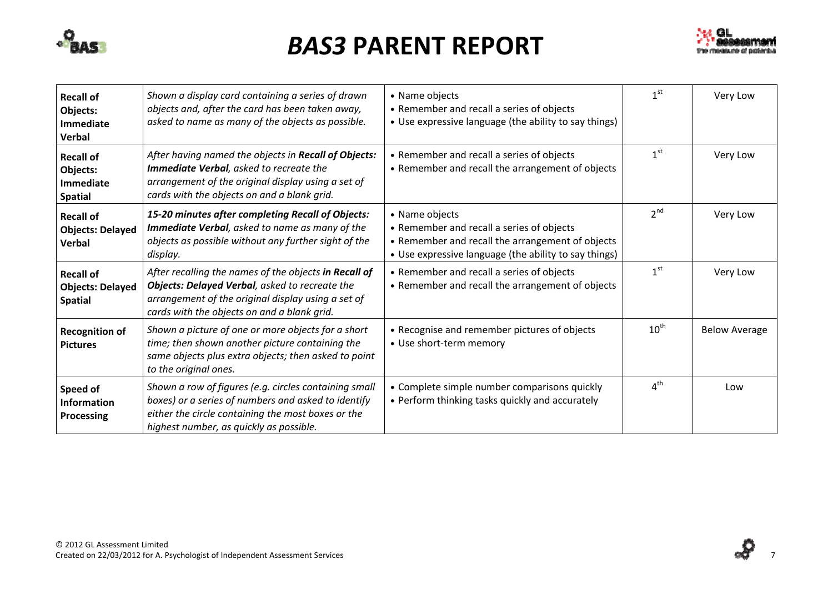



| <b>Recall of</b><br>Objects:<br><b>Immediate</b><br>Verbal         | Shown a display card containing a series of drawn<br>objects and, after the card has been taken away,<br>asked to name as many of the objects as possible.                                                    | • Name objects<br>• Remember and recall a series of objects<br>• Use expressive language (the ability to say things)                                                     | 1 <sup>st</sup>  | Very Low             |
|--------------------------------------------------------------------|---------------------------------------------------------------------------------------------------------------------------------------------------------------------------------------------------------------|--------------------------------------------------------------------------------------------------------------------------------------------------------------------------|------------------|----------------------|
| <b>Recall of</b><br>Objects:<br><b>Immediate</b><br><b>Spatial</b> | After having named the objects in Recall of Objects:<br>Immediate Verbal, asked to recreate the<br>arrangement of the original display using a set of<br>cards with the objects on and a blank grid.          | • Remember and recall a series of objects<br>• Remember and recall the arrangement of objects                                                                            | 1 <sup>st</sup>  | Very Low             |
| <b>Recall of</b><br><b>Objects: Delayed</b><br>Verbal              | 15-20 minutes after completing Recall of Objects:<br>Immediate Verbal, asked to name as many of the<br>objects as possible without any further sight of the<br>display.                                       | • Name objects<br>• Remember and recall a series of objects<br>• Remember and recall the arrangement of objects<br>• Use expressive language (the ability to say things) | 2 <sup>nd</sup>  | Very Low             |
| <b>Recall of</b><br><b>Objects: Delayed</b><br><b>Spatial</b>      | After recalling the names of the objects in Recall of<br>Objects: Delayed Verbal, asked to recreate the<br>arrangement of the original display using a set of<br>cards with the objects on and a blank grid.  | • Remember and recall a series of objects<br>• Remember and recall the arrangement of objects                                                                            | 1 <sup>st</sup>  | Very Low             |
| <b>Recognition of</b><br><b>Pictures</b>                           | Shown a picture of one or more objects for a short<br>time; then shown another picture containing the<br>same objects plus extra objects; then asked to point<br>to the original ones.                        | • Recognise and remember pictures of objects<br>• Use short-term memory                                                                                                  | $10^{\text{th}}$ | <b>Below Average</b> |
| Speed of<br><b>Information</b><br>Processing                       | Shown a row of figures (e.g. circles containing small<br>boxes) or a series of numbers and asked to identify<br>either the circle containing the most boxes or the<br>highest number, as quickly as possible. | • Complete simple number comparisons quickly<br>• Perform thinking tasks quickly and accurately                                                                          | 4 <sup>th</sup>  | Low                  |